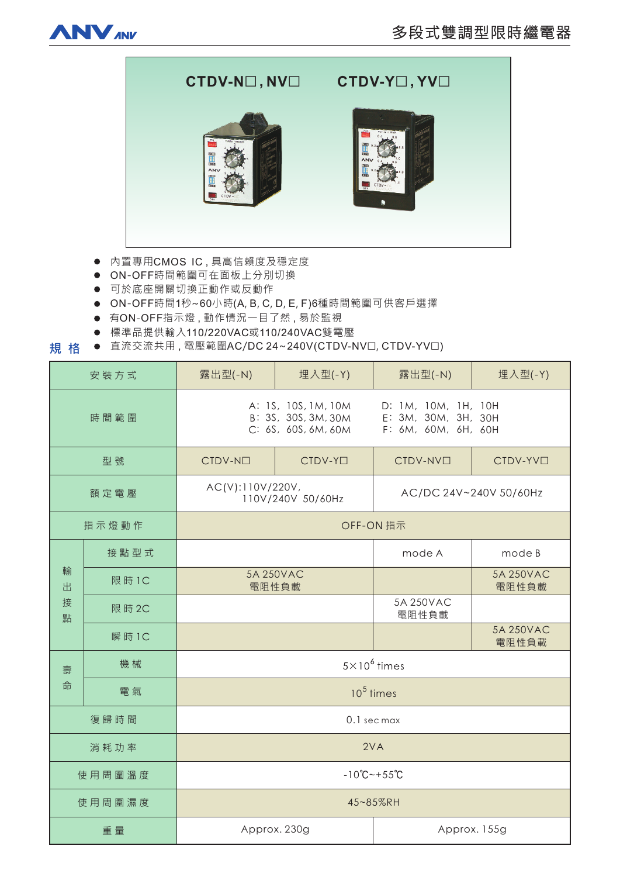



- 内置專用CMOS IC,具高信賴度及穩定度
- $\bullet$  ON-OFF時間範圍可在面板上分別切換
- 可於底座開關切換正動作或反動作
- ON-OFF時間1秒~60小時(A, B, C, D, E, F)6種時間範圍可供客戶選擇
- 有ON-OFF指示燈, 動作情況一目了然, 易於監視
- 標準品提供輸入110/220VAC或110/240VAC雙電壓
- **規格** ● 直流交流共用, 電壓範圍AC/DC 24~240V(CTDV-NV口, CTDV-YV口)

| 安裝方式             |        | 露出型(-N)                                                           | 埋入型(-Y)             | 露出型(-N)                                                           | 埋入型(-Y)              |
|------------------|--------|-------------------------------------------------------------------|---------------------|-------------------------------------------------------------------|----------------------|
| 時間範圍             |        | A: 1S, 10S, 1M, 10M<br>B: 3S, 30S, 3M, 30M<br>C: 6S, 60S, 6M, 60M |                     | D: 1M, 10M, 1H, 10H<br>E: 3M, 30M, 3H, 30H<br>F: 6M, 60M, 6H, 60H |                      |
| 型號               |        | CTDV-NO                                                           | CTDV-Y <sub>I</sub> | CTDV-NV <sup>I</sup>                                              | CTDV-YV <sub>D</sub> |
| 額定電壓             |        | AC(V):110V/220V,<br>110V/240V 50/60Hz                             |                     | AC/DC 24V~240V 50/60Hz                                            |                      |
| 指示燈動作            |        | OFF-ON 指示                                                         |                     |                                                                   |                      |
| 輸<br>出<br>接<br>點 | 接點型式   |                                                                   |                     | mode A                                                            | mode B               |
|                  | 限 時 1C | 5A 250VAC<br>電阻性負載                                                |                     |                                                                   | 5A 250VAC<br>電阻性負載   |
|                  | 限 時 2C |                                                                   |                     | 5A 250VAC<br>電阻性負載                                                |                      |
|                  | 瞬 時 1C |                                                                   |                     |                                                                   | 5A 250VAC<br>電阻性負載   |
| 壽<br>命           | 機械     | $5 \times 10^6$ times                                             |                     |                                                                   |                      |
|                  | 電氣     | $10^5$ times                                                      |                     |                                                                   |                      |
| 復歸時間             |        | 0.1 sec max                                                       |                     |                                                                   |                      |
| 消耗功率             |        | 2VA                                                               |                     |                                                                   |                      |
| 使用周圍溫度           |        | $-10^{\circ}$ C ~ + 55 $^{\circ}$ C                               |                     |                                                                   |                      |
| 使用周圍濕度           |        | 45~85%RH                                                          |                     |                                                                   |                      |
| 重量               |        | Approx. 230g                                                      |                     | Approx. 155g                                                      |                      |